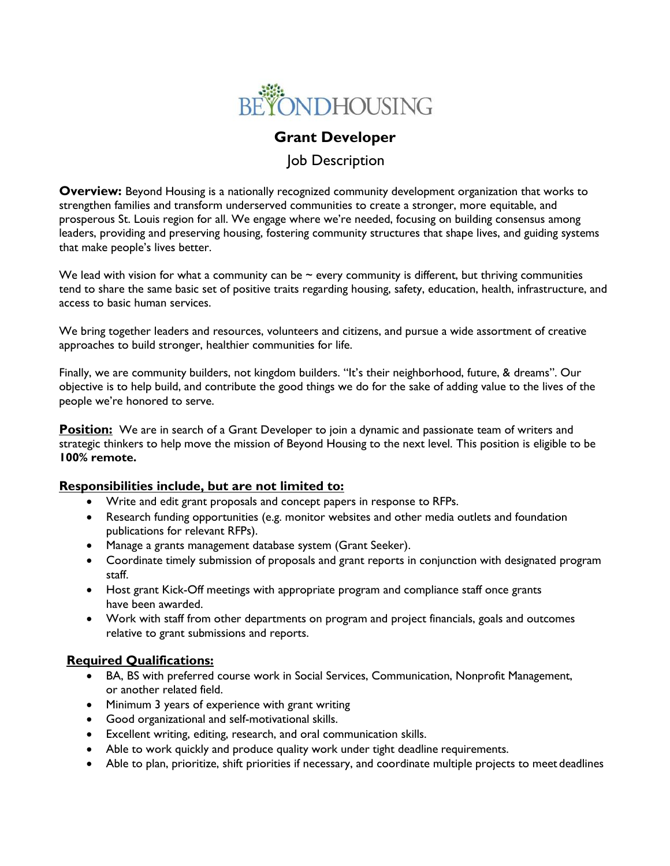

# **Grant Developer**

## Job Description

**Overview:** Beyond Housing is a nationally recognized community development organization that works to strengthen families and transform underserved communities to create a stronger, more equitable, and prosperous St. Louis region for all. We engage where we're needed, focusing on building consensus among leaders, providing and preserving housing, fostering community structures that shape lives, and guiding systems that make people's lives better.

We lead with vision for what a community can be  $\sim$  every community is different, but thriving communities tend to share the same basic set of positive traits regarding housing, safety, education, health, infrastructure, and access to basic human services.

We bring together leaders and resources, volunteers and citizens, and pursue a wide assortment of creative approaches to build stronger, healthier communities for life.

Finally, we are community builders, not kingdom builders. "It's their neighborhood, future, & dreams". Our objective is to help build, and contribute the good things we do for the sake of adding value to the lives of the people we're honored to serve.

**Position:** We are in search of a Grant Developer to join a dynamic and passionate team of writers and strategic thinkers to help move the mission of Beyond Housing to the next level. This position is eligible to be **100% remote.**

#### **Responsibilities include, but are not limited to:**

- Write and edit grant proposals and concept papers in response to RFPs.
- Research funding opportunities (e.g. monitor websites and other media outlets and foundation publications for relevant RFPs).
- Manage a grants management database system (Grant Seeker).
- Coordinate timely submission of proposals and grant reports in conjunction with designated program staff.
- Host grant Kick-Off meetings with appropriate program and compliance staff once grants have been awarded.
- Work with staff from other departments on program and project financials, goals and outcomes relative to grant submissions and reports.

#### **Required Qualifications:**

- BA, BS with preferred course work in Social Services, Communication, Nonprofit Management, or another related field.
- Minimum 3 years of experience with grant writing
- Good organizational and self-motivational skills.
- Excellent writing, editing, research, and oral communication skills.
- Able to work quickly and produce quality work under tight deadline requirements.
- Able to plan, prioritize, shift priorities if necessary, and coordinate multiple projects to meet deadlines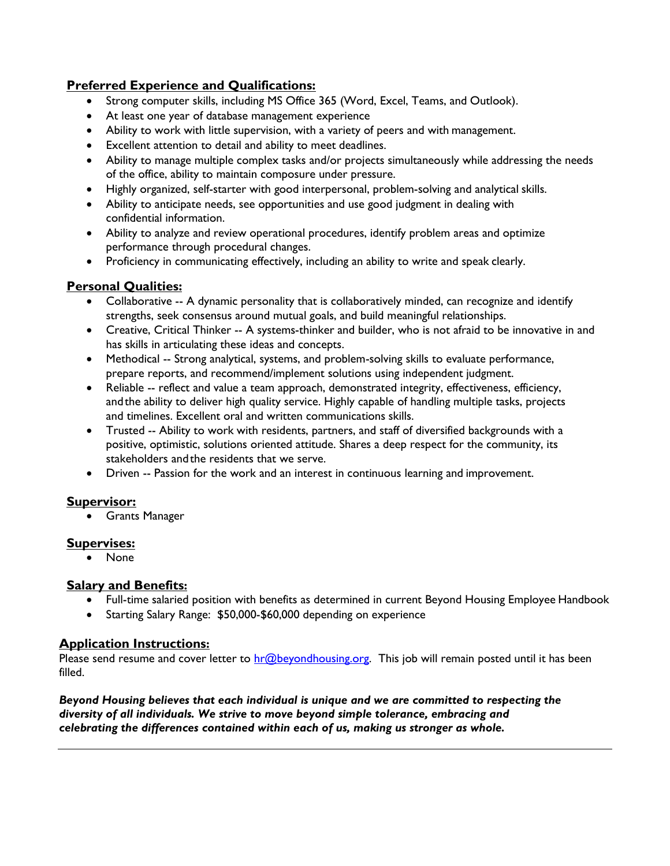## **Preferred Experience and Qualifications:**

- Strong computer skills, including MS Office 365 (Word, Excel, Teams, and Outlook).
- At least one year of database management experience
- Ability to work with little supervision, with a variety of peers and with management.
- Excellent attention to detail and ability to meet deadlines.
- Ability to manage multiple complex tasks and/or projects simultaneously while addressing the needs of the office, ability to maintain composure under pressure.
- Highly organized, self-starter with good interpersonal, problem-solving and analytical skills.
- Ability to anticipate needs, see opportunities and use good judgment in dealing with confidential information.
- Ability to analyze and review operational procedures, identify problem areas and optimize performance through procedural changes.
- Proficiency in communicating effectively, including an ability to write and speak clearly.

## **Personal Qualities:**

- Collaborative -- A dynamic personality that is collaboratively minded, can recognize and identify strengths, seek consensus around mutual goals, and build meaningful relationships.
- Creative, Critical Thinker -- A systems-thinker and builder, who is not afraid to be innovative in and has skills in articulating these ideas and concepts.
- Methodical -- Strong analytical, systems, and problem-solving skills to evaluate performance, prepare reports, and recommend/implement solutions using independent judgment.
- Reliable -- reflect and value a team approach, demonstrated integrity, effectiveness, efficiency, andthe ability to deliver high quality service. Highly capable of handling multiple tasks, projects and timelines. Excellent oral and written communications skills.
- Trusted -- Ability to work with residents, partners, and staff of diversified backgrounds with a positive, optimistic, solutions oriented attitude. Shares a deep respect for the community, its stakeholders andthe residents that we serve.
- Driven -- Passion for the work and an interest in continuous learning and improvement.

## **Supervisor:**

• Grants Manager

## **Supervises:**

• None

## **Salary and Benefits:**

- Full-time salaried position with benefits as determined in current Beyond Housing Employee Handbook
- Starting Salary Range: \$50,000-\$60,000 depending on experience

## **Application Instructions:**

Please send resume and cover letter to [hr@beyondhousing.org.](mailto:hr@beyondhousing.org) This job will remain posted until it has been filled.

*Beyond Housing believes that each individual is unique and we are committed to respecting the diversity of all individuals. We strive to move beyond simple tolerance, embracing and celebrating the differences contained within each of us, making us stronger as whole.*